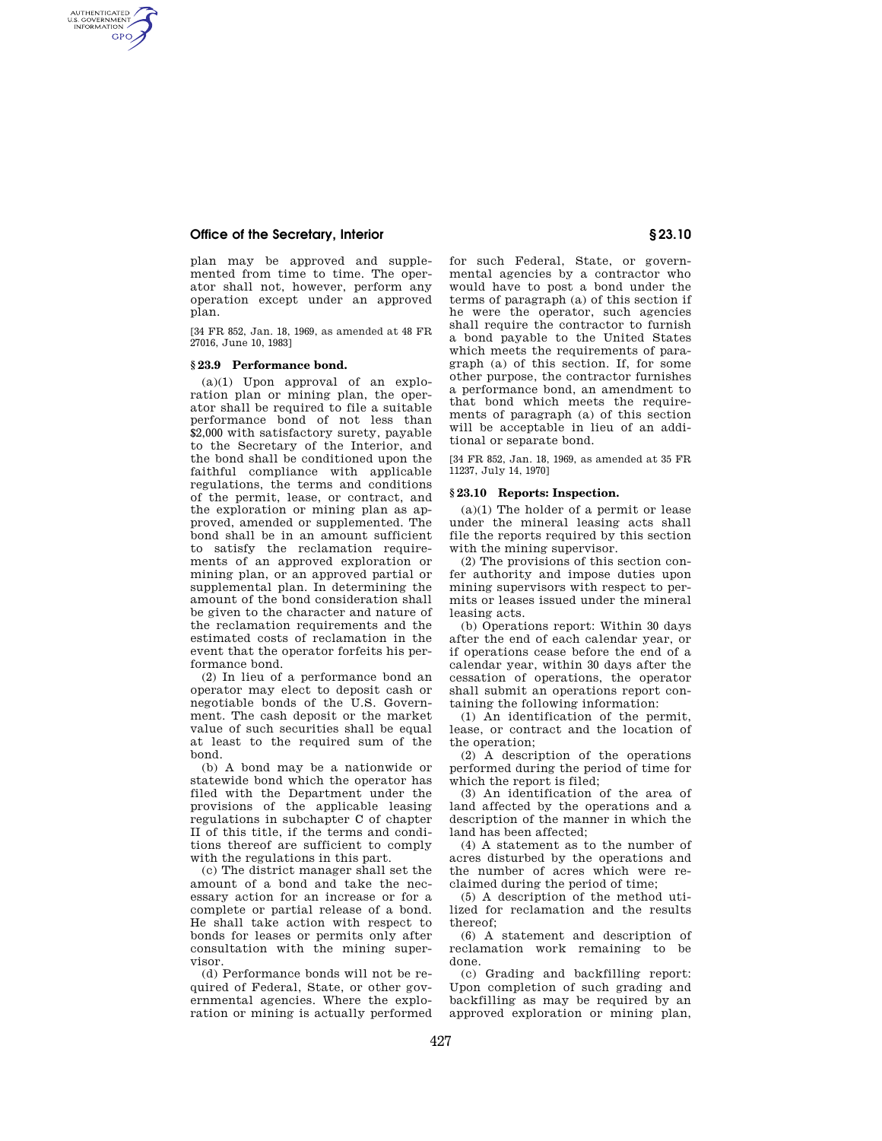# **Office of the Secretary, Interior § 23.10**

AUTHENTICATED<br>U.S. GOVERNMENT<br>INFORMATION **GPO** 

> plan may be approved and supplemented from time to time. The operator shall not, however, perform any operation except under an approved plan.

> [34 FR 852, Jan. 18, 1969, as amended at 48 FR 27016, June 10, 1983]

### **§ 23.9 Performance bond.**

(a)(1) Upon approval of an exploration plan or mining plan, the operator shall be required to file a suitable performance bond of not less than \$2,000 with satisfactory surety, payable to the Secretary of the Interior, and the bond shall be conditioned upon the faithful compliance with applicable regulations, the terms and conditions of the permit, lease, or contract, and the exploration or mining plan as approved, amended or supplemented. The bond shall be in an amount sufficient to satisfy the reclamation requirements of an approved exploration or mining plan, or an approved partial or supplemental plan. In determining the amount of the bond consideration shall be given to the character and nature of the reclamation requirements and the estimated costs of reclamation in the event that the operator forfeits his performance bond.

(2) In lieu of a performance bond an operator may elect to deposit cash or negotiable bonds of the U.S. Government. The cash deposit or the market value of such securities shall be equal at least to the required sum of the bond.

(b) A bond may be a nationwide or statewide bond which the operator has filed with the Department under the provisions of the applicable leasing regulations in subchapter C of chapter II of this title, if the terms and conditions thereof are sufficient to comply with the regulations in this part.

(c) The district manager shall set the amount of a bond and take the necessary action for an increase or for a complete or partial release of a bond. He shall take action with respect to bonds for leases or permits only after consultation with the mining supervisor.

(d) Performance bonds will not be required of Federal, State, or other governmental agencies. Where the exploration or mining is actually performed for such Federal, State, or governmental agencies by a contractor who would have to post a bond under the terms of paragraph (a) of this section if he were the operator, such agencies shall require the contractor to furnish a bond payable to the United States which meets the requirements of paragraph (a) of this section. If, for some other purpose, the contractor furnishes a performance bond, an amendment to that bond which meets the requirements of paragraph (a) of this section will be acceptable in lieu of an additional or separate bond.

[34 FR 852, Jan. 18, 1969, as amended at 35 FR 11237, July 14, 1970]

### **§ 23.10 Reports: Inspection.**

(a)(1) The holder of a permit or lease under the mineral leasing acts shall file the reports required by this section with the mining supervisor.

(2) The provisions of this section confer authority and impose duties upon mining supervisors with respect to permits or leases issued under the mineral leasing acts.

(b) Operations report: Within 30 days after the end of each calendar year, or if operations cease before the end of a calendar year, within 30 days after the cessation of operations, the operator shall submit an operations report containing the following information:

(1) An identification of the permit, lease, or contract and the location of the operation;

(2) A description of the operations performed during the period of time for which the report is filed;

(3) An identification of the area of land affected by the operations and a description of the manner in which the land has been affected;

(4) A statement as to the number of acres disturbed by the operations and the number of acres which were reclaimed during the period of time;

(5) A description of the method utilized for reclamation and the results thereof;

(6) A statement and description of reclamation work remaining to be done.

(c) Grading and backfilling report: Upon completion of such grading and backfilling as may be required by an approved exploration or mining plan,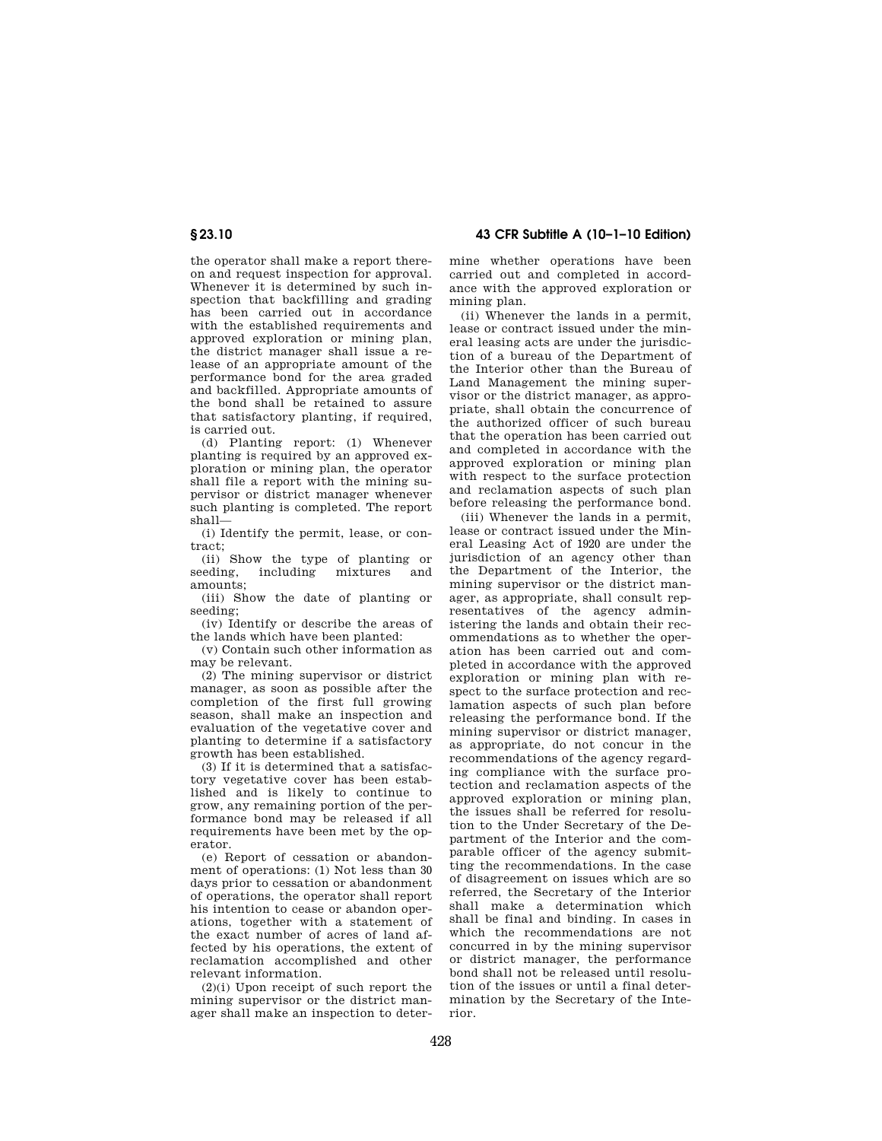the operator shall make a report thereon and request inspection for approval. Whenever it is determined by such inspection that backfilling and grading has been carried out in accordance with the established requirements and approved exploration or mining plan, the district manager shall issue a release of an appropriate amount of the performance bond for the area graded and backfilled. Appropriate amounts of the bond shall be retained to assure that satisfactory planting, if required, is carried out.

(d) Planting report: (1) Whenever planting is required by an approved exploration or mining plan, the operator shall file a report with the mining supervisor or district manager whenever such planting is completed. The report shall—

(i) Identify the permit, lease, or contract;

(ii) Show the type of planting or seeding, including mixtures and amounts;

(iii) Show the date of planting or seeding;

(iv) Identify or describe the areas of the lands which have been planted:

(v) Contain such other information as may be relevant.

(2) The mining supervisor or district manager, as soon as possible after the completion of the first full growing season, shall make an inspection and evaluation of the vegetative cover and planting to determine if a satisfactory growth has been established.

(3) If it is determined that a satisfactory vegetative cover has been established and is likely to continue to grow, any remaining portion of the performance bond may be released if all requirements have been met by the operator.

(e) Report of cessation or abandonment of operations: (1) Not less than 30 days prior to cessation or abandonment of operations, the operator shall report his intention to cease or abandon operations, together with a statement of the exact number of acres of land affected by his operations, the extent of reclamation accomplished and other relevant information.

(2)(i) Upon receipt of such report the mining supervisor or the district manager shall make an inspection to deter-

**§ 23.10 43 CFR Subtitle A (10–1–10 Edition)** 

mine whether operations have been carried out and completed in accordance with the approved exploration or mining plan.

(ii) Whenever the lands in a permit, lease or contract issued under the mineral leasing acts are under the jurisdiction of a bureau of the Department of the Interior other than the Bureau of Land Management the mining supervisor or the district manager, as appropriate, shall obtain the concurrence of the authorized officer of such bureau that the operation has been carried out and completed in accordance with the approved exploration or mining plan with respect to the surface protection and reclamation aspects of such plan before releasing the performance bond.

(iii) Whenever the lands in a permit, lease or contract issued under the Mineral Leasing Act of 1920 are under the jurisdiction of an agency other than the Department of the Interior, the mining supervisor or the district manager, as appropriate, shall consult representatives of the agency administering the lands and obtain their recommendations as to whether the operation has been carried out and completed in accordance with the approved exploration or mining plan with respect to the surface protection and reclamation aspects of such plan before releasing the performance bond. If the mining supervisor or district manager, as appropriate, do not concur in the recommendations of the agency regarding compliance with the surface protection and reclamation aspects of the approved exploration or mining plan, the issues shall be referred for resolution to the Under Secretary of the Department of the Interior and the comparable officer of the agency submitting the recommendations. In the case of disagreement on issues which are so referred, the Secretary of the Interior shall make a determination which shall be final and binding. In cases in which the recommendations are not concurred in by the mining supervisor or district manager, the performance bond shall not be released until resolution of the issues or until a final determination by the Secretary of the Interior.